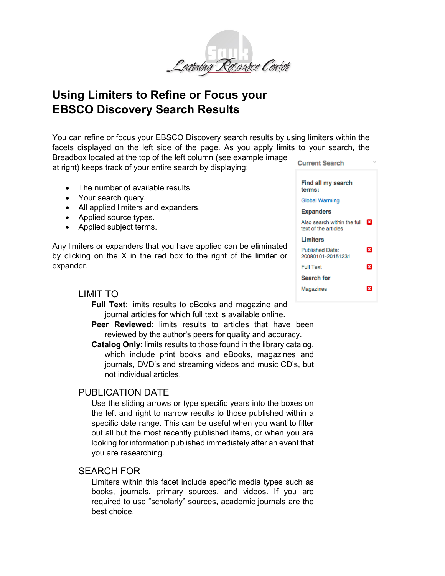

# **Using Limiters to Refine or Focus your EBSCO Discovery Search Results**

You can refine or focus your EBSCO Discovery search results by using limiters within the facets displayed on the left side of the page. As you apply limits to your search, the Breadbox located at the top of the left column (see example image

at right) keeps track of your entire search by displaying:

- The number of available results.
- Your search query.
- All applied limiters and expanders.
- Applied source types.
- Applied subject terms.

Any limiters or expanders that you have applied can be eliminated by clicking on the X in the red box to the right of the limiter or expander.

## LIMIT TO

- **Full Text**: limits results to eBooks and magazine and journal articles for which full text is available online.
- **Peer Reviewed:** limits results to articles that have been reviewed by the author's peers for quality and accuracy.
- **Catalog Only**: limits results to those found in the library catalog, which include print books and eBooks, magazines and journals, DVD's and streaming videos and music CD's, but not individual articles.

## PUBLICATION DATE

Use the sliding arrows or type specific years into the boxes on the left and right to narrow results to those published within a specific date range. This can be useful when you want to filter out all but the most recently published items, or when you are looking for information published immediately after an event that you are researching.

## SEARCH FOR

Limiters within this facet include specific media types such as books, journals, primary sources, and videos. If you are required to use "scholarly" sources, academic journals are the best choice.